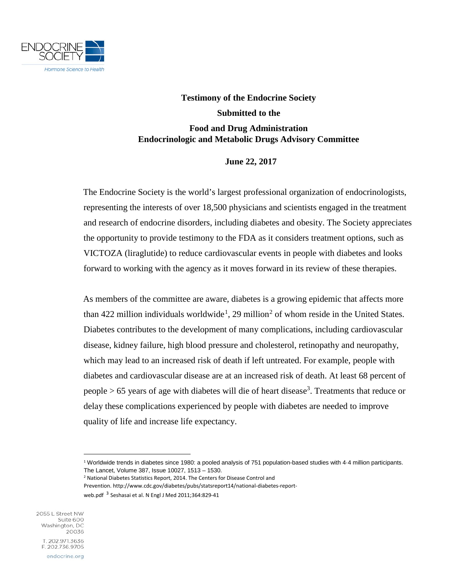

## **Testimony of the Endocrine Society Submitted to the Food and Drug Administration Endocrinologic and Metabolic Drugs Advisory Committee**

## **June 22, 2017**

The Endocrine Society is the world's largest professional organization of endocrinologists, representing the interests of over 18,500 physicians and scientists engaged in the treatment and research of endocrine disorders, including diabetes and obesity. The Society appreciates the opportunity to provide testimony to the FDA as it considers treatment options, such as VICTOZA (liraglutide) to reduce cardiovascular events in people with diabetes and looks forward to working with the agency as it moves forward in its review of these therapies.

As members of the committee are aware, diabetes is a growing epidemic that affects more than 422 million individuals worldwide<sup>[1](#page-0-0)</sup>, [2](#page-0-1)9 million<sup>2</sup> of whom reside in the United States. Diabetes contributes to the development of many complications, including cardiovascular disease, kidney failure, high blood pressure and cholesterol, retinopathy and neuropathy, which may lead to an increased risk of death if left untreated. For example, people with diabetes and cardiovascular disease are at an increased risk of death. At least 68 percent of people  $> 65$  years of age with diabetes will die of heart disease<sup>3</sup>. Treatments that reduce or delay these complications experienced by people with diabetes are needed to improve quality of life and increase life expectancy.

<sup>2</sup> National Diabetes Statistics Report, 2014. The Centers for Disease Control and

Prevention. http://www.cdc.gov/diabetes/pubs/statsreport14/national-diabetes-reportweb.pdf<sup>3</sup> Seshasai et al. N Engl J Med 2011;364:829-41

<span id="page-0-1"></span><span id="page-0-0"></span>2055 L Street NW Suite 600 Washington, DC 20036 T. 202.971.3636 F. 202.736.9705 endocrine.org

 $\overline{a}$ 

<sup>1</sup> Worldwide trends in diabetes since 1980: a pooled analysis of 751 population-based studies with 4·4 million participants. The Lancet, Volume 387, Issue 10027, 1513 – 1530.